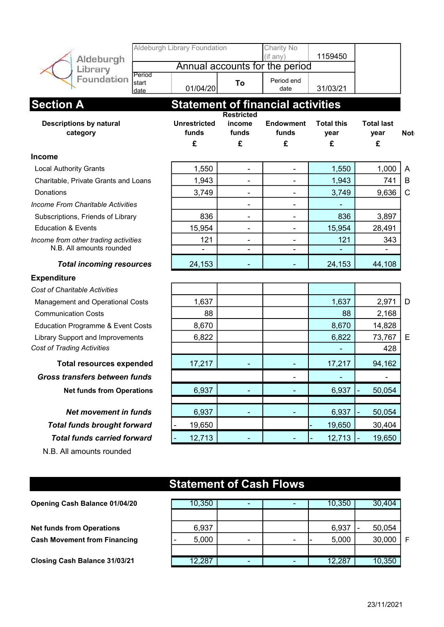| Aldeburgh                                                    | Aldeburgh Library Foundation      |                                           | Charity No<br>(if any)         | 1159450                        |                                |            |  |  |  |
|--------------------------------------------------------------|-----------------------------------|-------------------------------------------|--------------------------------|--------------------------------|--------------------------------|------------|--|--|--|
| Library                                                      |                                   |                                           | Annual accounts for the period |                                |                                |            |  |  |  |
| Period<br>Foundation<br>start<br>date                        | 01/04/20                          | To                                        | Period end<br>date             | 31/03/21                       |                                |            |  |  |  |
| <b>Statement of financial activities</b><br><b>Section A</b> |                                   |                                           |                                |                                |                                |            |  |  |  |
| <b>Descriptions by natural</b><br>category                   | <b>Unrestricted</b><br>funds<br>£ | <b>Restricted</b><br>income<br>funds<br>£ | <b>Endowment</b><br>funds<br>£ | <b>Total this</b><br>year<br>£ | <b>Total last</b><br>year<br>£ | <b>Not</b> |  |  |  |
| <b>Income</b>                                                |                                   |                                           |                                |                                |                                |            |  |  |  |
| <b>Local Authority Grants</b>                                | 1,550                             | $\overline{\phantom{a}}$                  | $\overline{\phantom{a}}$       | 1,550                          | 1,000                          | A          |  |  |  |
| Charitable, Private Grants and Loans                         | 1,943                             | $\qquad \qquad \blacksquare$              |                                | 1,943                          | 741                            | B          |  |  |  |
| Donations                                                    | 3,749                             |                                           |                                | 3,749                          | 9,636                          | C          |  |  |  |
| <b>Income From Charitable Activities</b>                     |                                   | $\overline{\phantom{a}}$                  | $\blacksquare$                 |                                |                                |            |  |  |  |
| Subscriptions, Friends of Library                            | 836                               | $\overline{\phantom{a}}$                  | $\blacksquare$                 | 836                            | 3,897                          |            |  |  |  |
| <b>Education &amp; Events</b>                                | 15,954                            |                                           |                                | 15,954                         | 28,491                         |            |  |  |  |
| Income from other trading activities                         | 121                               | $\blacksquare$                            | $\blacksquare$                 | 121                            | 343                            |            |  |  |  |
| N.B. All amounts rounded                                     | $\overline{\phantom{0}}$          | $\qquad \qquad \blacksquare$              | $\overline{\phantom{a}}$       |                                |                                |            |  |  |  |
| <b>Total incoming resources</b>                              | 24,153                            |                                           |                                | 24,153                         | 44,108                         |            |  |  |  |
| <b>Expenditure</b>                                           |                                   |                                           |                                |                                |                                |            |  |  |  |
| <b>Cost of Charitable Activities</b>                         |                                   |                                           |                                |                                |                                |            |  |  |  |
| <b>Management and Operational Costs</b>                      | 1,637                             |                                           |                                | 1,637                          | 2,971                          | D          |  |  |  |
| <b>Communication Costs</b>                                   | 88                                |                                           |                                | 88                             | 2,168                          |            |  |  |  |
| Education Programme & Event Costs                            | 8,670                             |                                           |                                | 8,670                          | 14,828                         |            |  |  |  |
| <b>Library Support and Improvements</b>                      | 6,822                             |                                           |                                | 6,822                          | 73,767                         | Е          |  |  |  |
| <b>Cost of Trading Activities</b>                            |                                   |                                           |                                |                                | 428                            |            |  |  |  |
| <b>Total resources expended</b>                              | 17,217                            |                                           |                                | 17,217                         | 94,162                         |            |  |  |  |
| <b>Gross transfers between funds</b>                         |                                   |                                           |                                |                                |                                |            |  |  |  |
| <b>Net funds from Operations</b>                             | 6,937                             |                                           |                                | 6,937                          | 50,054                         |            |  |  |  |
| <b>Net movement in funds</b>                                 | 6,937                             |                                           |                                | 6,937                          | 50,054                         |            |  |  |  |
|                                                              |                                   |                                           |                                |                                |                                |            |  |  |  |
| <b>Total funds brought forward</b>                           | 19,650                            |                                           |                                | 19,650                         | 30,404                         |            |  |  |  |
| <b>Total funds carried forward</b>                           | 12,713                            |                                           |                                | 12,713                         | 19,650                         |            |  |  |  |
| N.B. All amounts rounded                                     | <b>Statement of Cash Flows</b>    |                                           |                                |                                |                                |            |  |  |  |
|                                                              |                                   |                                           |                                |                                |                                |            |  |  |  |
| Opening Cash Balance 01/04/20                                | 10,350                            | ۰                                         | $\blacksquare$                 | 10,350                         | 30,404                         |            |  |  |  |

| <b>Opening Cash Balance 01/04/20</b> | 10,350 |                          | 10,350 | 30,404 |   |
|--------------------------------------|--------|--------------------------|--------|--------|---|
|                                      |        |                          |        |        |   |
| <b>Net funds from Operations</b>     | 6,937  |                          | 6,937  | 50,054 |   |
| <b>Cash Movement from Financing</b>  | 5,000  | $\overline{\phantom{0}}$ | 5,000  | 30,000 | F |
|                                      |        |                          |        |        |   |
| Closing Cash Balance 31/03/21        | 12,287 |                          | 12,287 | 10,350 |   |

23/11/2021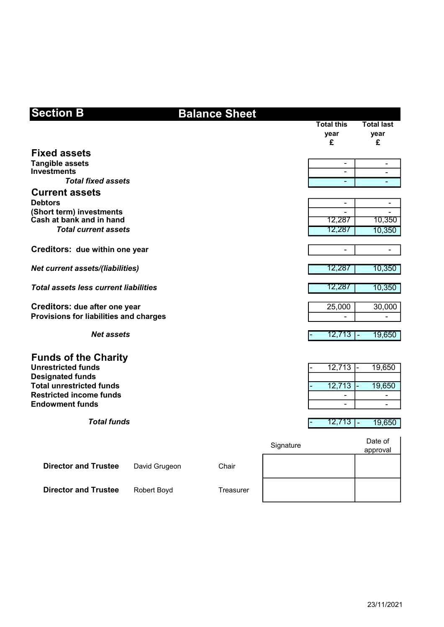| <b>Section B</b>                                                  |               | <b>Balance Sheet</b> |           |           |                                |                |                                |
|-------------------------------------------------------------------|---------------|----------------------|-----------|-----------|--------------------------------|----------------|--------------------------------|
|                                                                   |               |                      |           |           | <b>Total this</b><br>year<br>£ |                | <b>Total last</b><br>year<br>£ |
| <b>Fixed assets</b>                                               |               |                      |           |           |                                |                |                                |
| <b>Tangible assets</b><br><b>Investments</b>                      |               |                      |           |           | $\overline{\phantom{a}}$       |                | -                              |
| <b>Total fixed assets</b>                                         |               |                      |           |           |                                |                |                                |
| <b>Current assets</b>                                             |               |                      |           |           |                                |                |                                |
| <b>Debtors</b>                                                    |               |                      |           |           | $\overline{\phantom{0}}$       |                |                                |
| (Short term) investments<br>Cash at bank and in hand              |               |                      |           |           | 12,287                         |                | 10,350                         |
| <b>Total current assets</b>                                       |               |                      |           |           | 12,287                         |                | 10,350                         |
|                                                                   |               |                      |           |           |                                |                |                                |
| Creditors: due within one year                                    |               |                      |           |           | $\qquad \qquad \blacksquare$   |                | $\overline{\phantom{a}}$       |
| <b>Net current assets/(liabilities)</b>                           |               |                      |           |           | 12,287                         |                | 10,350                         |
|                                                                   |               |                      |           |           |                                |                |                                |
| <b>Total assets less current liabilities</b>                      |               |                      |           |           | 12,287                         |                | 10,350                         |
| Creditors: due after one year                                     |               |                      |           |           | 25,000                         |                | 30,000                         |
| Provisions for liabilities and charges                            |               |                      |           |           |                                |                |                                |
|                                                                   |               |                      |           |           |                                |                |                                |
| <b>Net assets</b>                                                 |               |                      |           |           | 12,713 <b>T</b>                |                | 19,650                         |
| <b>Funds of the Charity</b>                                       |               |                      |           |           |                                |                |                                |
| <b>Unrestricted funds</b>                                         |               |                      |           |           | 12,713                         |                | 19,650                         |
| <b>Designated funds</b>                                           |               |                      |           |           |                                |                |                                |
| <b>Total unrestricted funds</b><br><b>Restricted income funds</b> |               |                      |           |           | 12,713                         |                | 19,650                         |
| <b>Endowment funds</b>                                            |               |                      |           |           |                                |                |                                |
|                                                                   |               |                      |           |           |                                |                |                                |
| <b>Total funds</b>                                                |               |                      |           |           | 12,713                         | $\overline{a}$ | 19,650                         |
|                                                                   |               |                      |           | Signature |                                |                | Date of<br>approval            |
|                                                                   |               |                      |           |           |                                |                |                                |
| <b>Director and Trustee</b>                                       | David Grugeon | Chair                |           |           |                                |                |                                |
| <b>Director and Trustee</b>                                       | Robert Boyd   |                      | Treasurer |           |                                |                |                                |